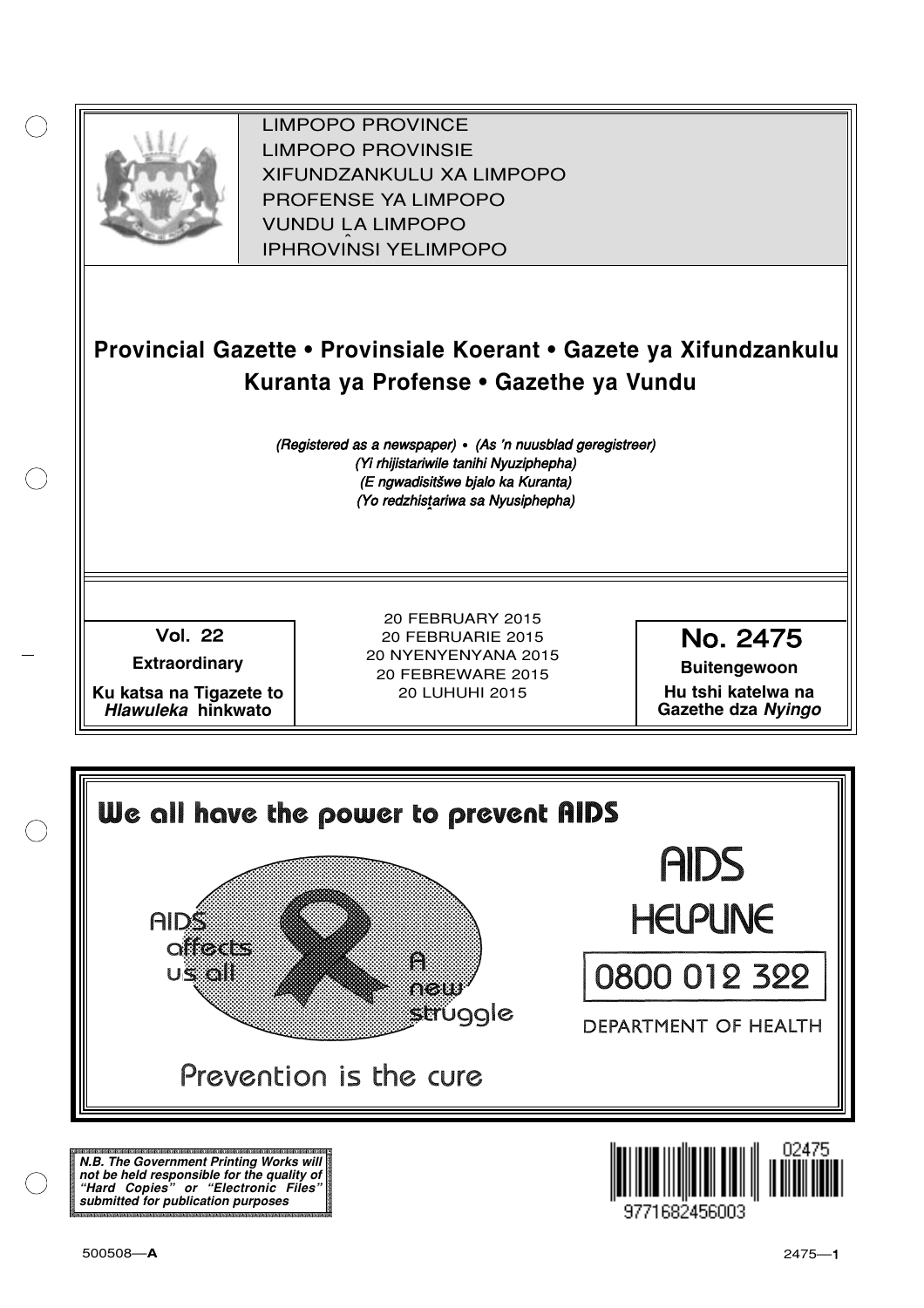

XIFUNDZANKULU XA LIMPOPO<br>PROFENCE XA LIMPORO PROFENSE YA LIMPOPO<br>WILDOLLA LIMPORO SOUTH A LIMPOPO<br>A LIPHROVINSI YELIMPOPO LIMPOPO PROVINCE LIMPOPO PROVINSIE IPHROVINSI YELIMPOPO

## **Provincial Gazette • Provinsiale Koerant • Gazete ya Xifundzankulu Kuranta ya Profense • Gazethe ya Vundu**

(Registered as a newspaper) • (As 'n nuusblad geregistreer) (Yi rhijistariwile tanihi Nyuziphepha) (E ngwadisitšwe bjalo ka Kuranta) (Yo redzhistariwa sa Nyusiphepha)

Vol.- 22

**Extraordinary**

**Ku katsa na Tigazete to Hlawuleka hinkwato**

20 FEBRUARY 2015 20 FEBRUARIE 2015 20 NYENYENYANA 2015 20 FEBREWARE 2015 20 LUHUHI 2015

No. 2475

**Buitengewoon Hu tshi katelwa na Gazethe dza Nyingo**



**N.B. The Government Printing Works will not be held responsible for the quality of "Hard Copies" or "Electronic Files" submitted for publication purposes**

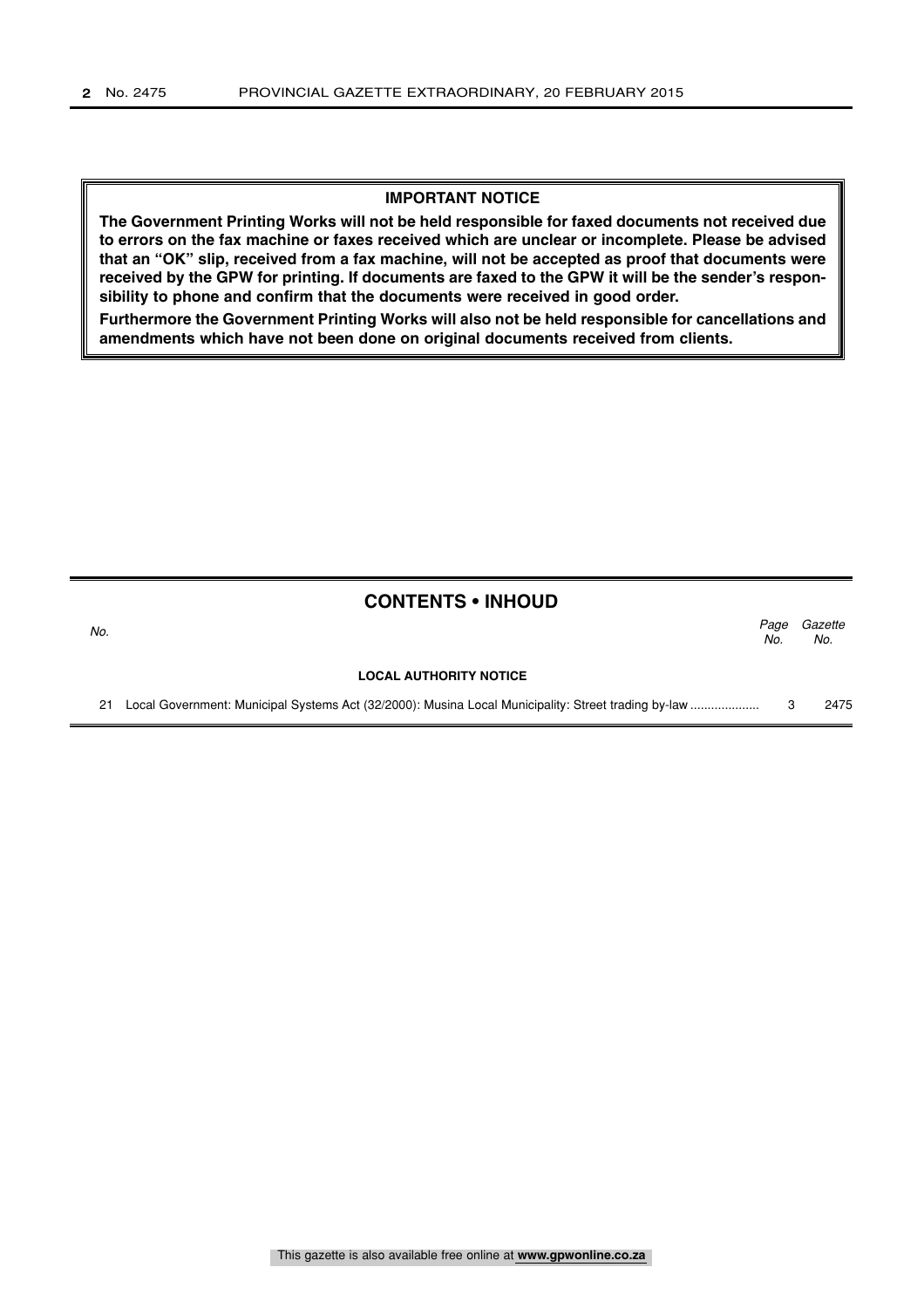#### **IMPORTANT NOTICE**

**The Government Printing Works will not be held responsible for faxed documents not received due to errors on the fax machine or faxes received which are unclear or incomplete. Please be advised that an "OK" slip, received from a fax machine, will not be accepted as proof that documents were received by the GPW for printing. If documents are faxed to the GPW it will be the sender's responsibility to phone and confirm that the documents were received in good order.**

**Furthermore the Government Printing Works will also not be held responsible for cancellations and amendments which have not been done on original documents received from clients.**

#### **CONTENTS • INHOUD**

| No. |                               | Paae<br>No. | Gazette<br>No. |
|-----|-------------------------------|-------------|----------------|
|     | <b>LOCAL AUTHORITY NOTICE</b> |             |                |
| 21  |                               |             | 2475           |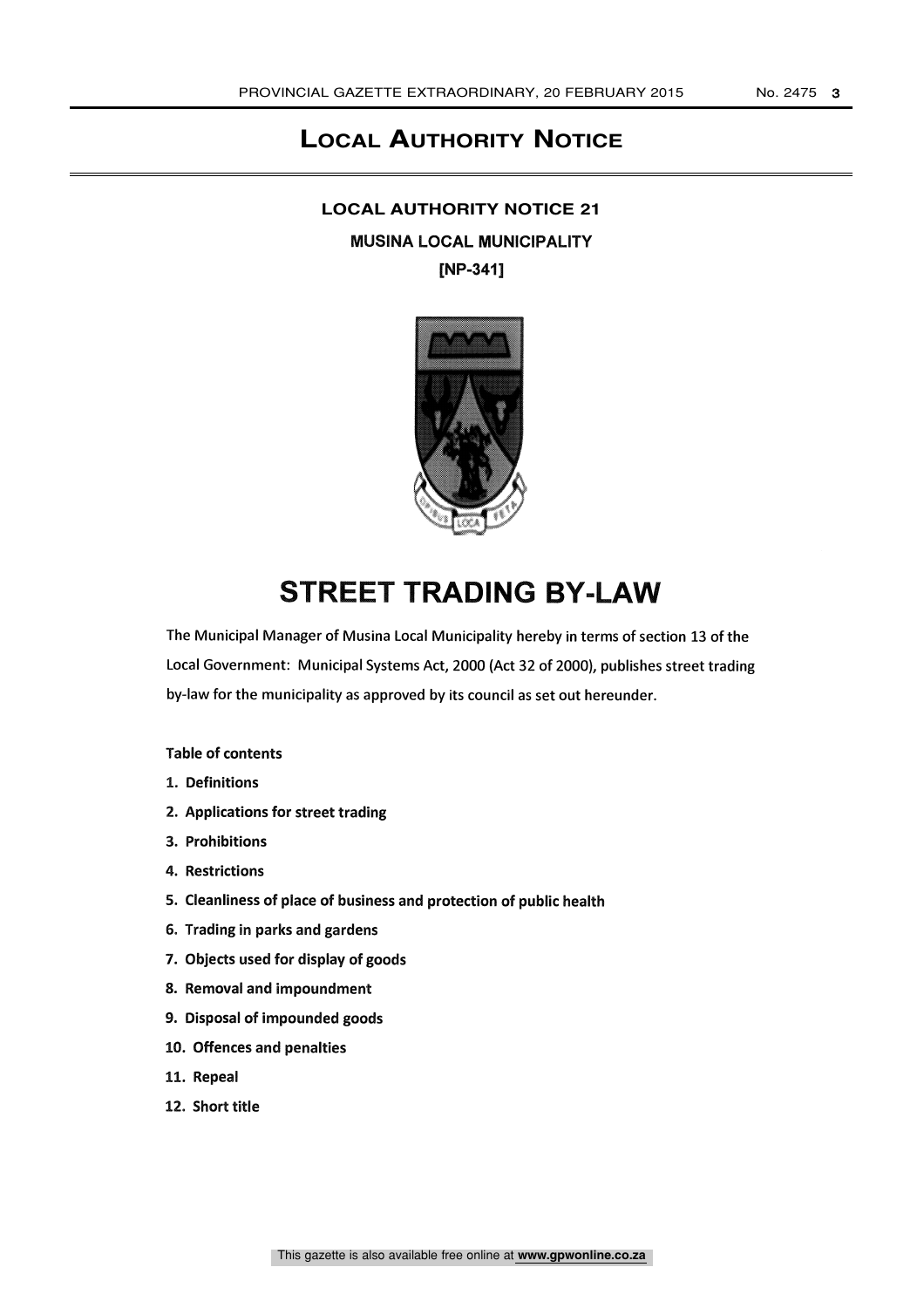### **LOCAL AUTHORITY NOTICE**

#### **LOCAL AUTHORITY NOTICE 21**

MUSINA LOCAL MUNICIPALITY [NP-341]



## STREET TRADING BY-LAW

The Municipal Manager of Musina Local Municipality hereby in terms of section 13 of the Local Government: Municipal Systems Act, 2000 (Act 32 of 2000), publishes street trading by-law for the municipality as approved by its council as set out hereunder.

#### Table of contents

- 1. Definitions
- 2. Applications for street trading
- 3. Prohibitions
- 4. Restrictions
- 5. Cleanliness of place of business and protection of public health
- 6. Trading in parks and gardens
- 7. Objects used for display of goods
- 8. Removal and impoundment
- 9. Disposal of impounded goods
- 10. Offences and penalties
- 11. Repeal
- 12. Short title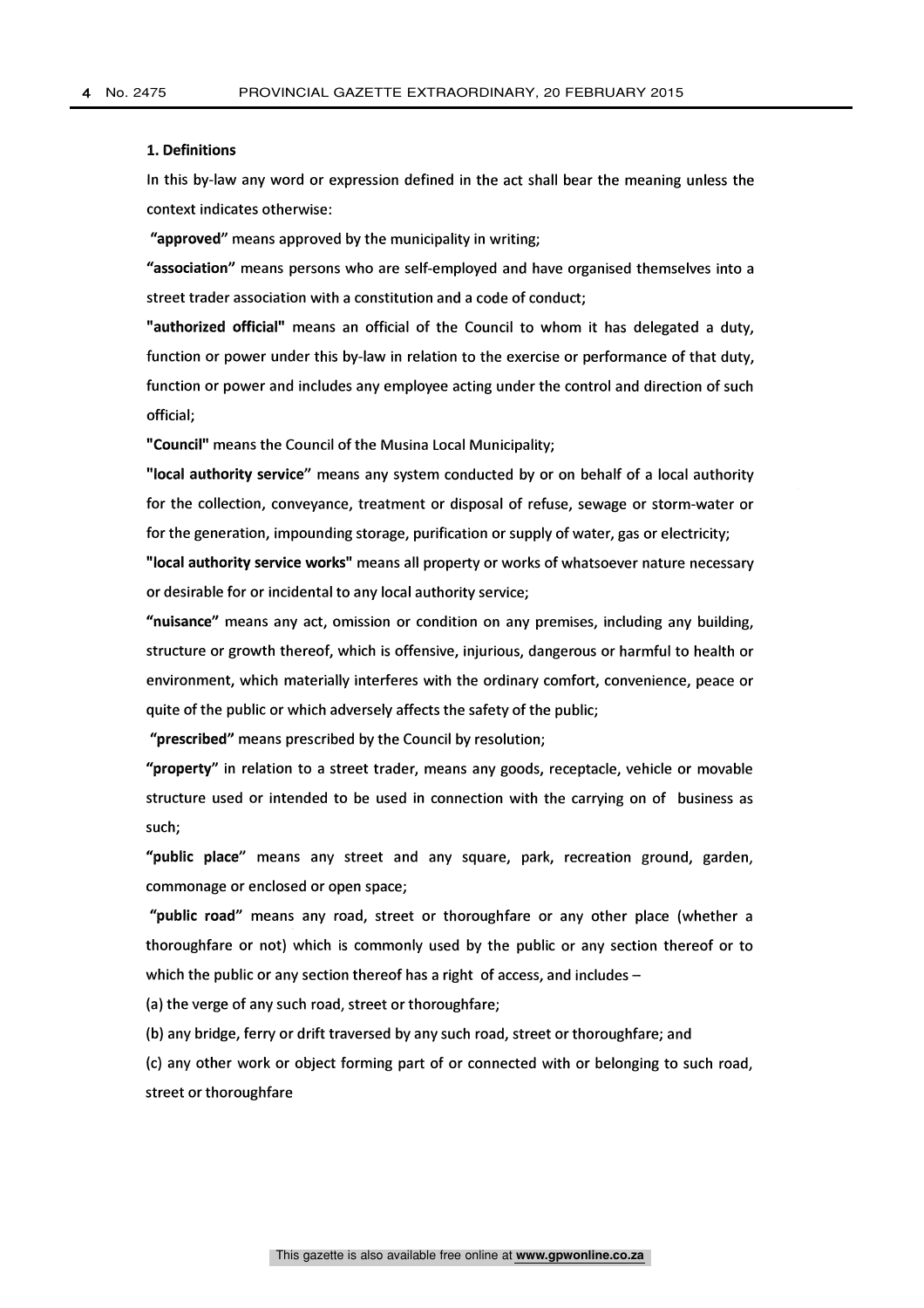#### 1. Definitions

In this by-law any word or expression defined in the act shall bear the meaning unless the context indicates otherwise:

"approved" means approved by the municipality in writing;

"association" means persons who are self-employed and have organised themselves into a street trader association with a constitution and a code of conduct;

"authorized official" means an official of the Council to whom it has delegated a duty, function or power under this by-law in relation to the exercise or performance of that duty, function or power and includes any employee acting under the control and direction of such official;

"Council" means the Council of the Musina Local Municipality;

"local authority service" means any system conducted by or on behalf of a local authority for the collection, conveyance, treatment or disposal of refuse, sewage or storm-water or for the generation, impounding storage, purification or supply of water, gas or electricity;

"local authority service works" means all property or works of whatsoever nature necessary or desirable for or incidental to any local authority service;

"nuisance" means any act, omission or condition on any premises, including any building, structure or growth thereof, which is offensive, injurious, dangerous or harmful to health or environment, which materially interferes with the ordinary comfort, convenience, peace or quite of the public or which adversely affects the safety of the public;

"prescribed" means prescribed by the Council by resolution;

"property" in relation to a street trader, means any goods, receptacle, vehicle or movable structure used or intended to be used in connection with the carrying on of business as such;

"public place" means any street and any square, park, recreation ground, garden, commonage or enclosed or open space;

"public road" means any road, street or thoroughfare or any other place (whether a thoroughfare or not) which is commonly used by the public or any section thereof or to which the public or any section thereof has a right of access, and includes  $-$ 

(a) the verge of any such road, street or thoroughfare;

(b) any bridge, ferry or drift traversed by any such road, street or thoroughfare; and

(c) any other work or object forming part of or connected with or belonging to such road, street or thoroughfare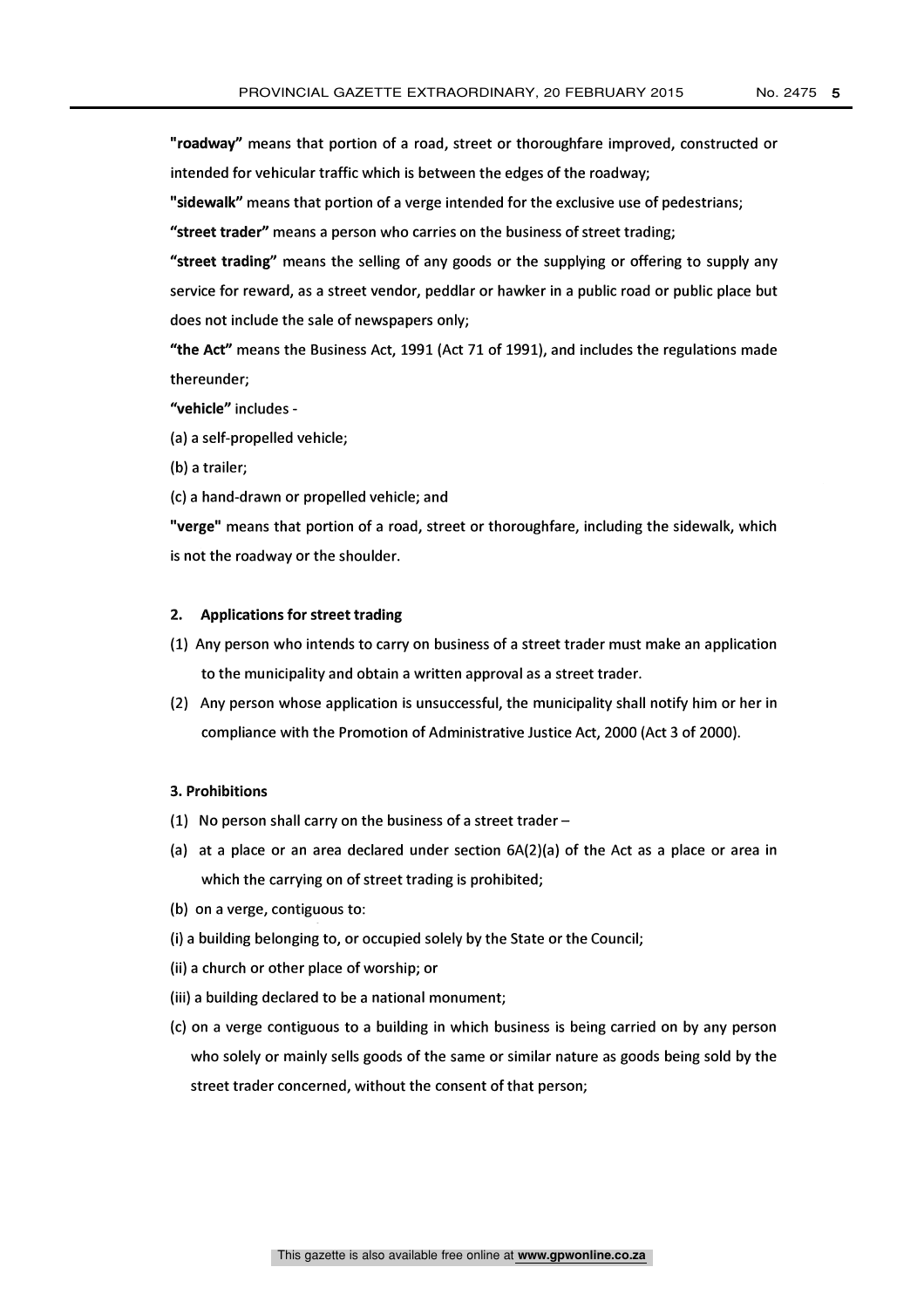"roadway" means that portion of a road, street or thoroughfare improved, constructed or intended for vehicular traffic which is between the edges of the roadway;

"sidewalk" means that portion of a verge intended for the exclusive use of pedestrians;

"street trader" means a person who carries on the business of street trading;

"street trading" means the selling of any goods or the supplying or offering to supply any service for reward, as a street vendor, peddlar or hawker in a public road or public place but does not include the sale of newspapers only;

"the Act" means the Business Act, 1991 (Act 71 of 1991), and includes the regulations made thereunder;

- "vehicle" includes -
- (a) a self-propelled vehicle;
- (b) a trailer;
- (c) a hand-drawn or propelled vehicle; and

"verge" means that portion of a road, street or thoroughfare, including the sidewalk, which is not the roadway or the shoulder.

#### 2. Applications for street trading

- (1) Any person who intends to carry on business of a street trader must make an application to the municipality and obtain a written approval as a street trader.
- (2) Any person whose application is unsuccessful, the municipality shall notify him or her in compliance with the Promotion of Administrative Justice Act, 2000 (Act 3 of 2000).

#### 3. Prohibitions

- (1) No person shall carry on the business of a street trader  $-$
- (a) at a place or an area declared under section 6A(2)(a) of the Act as a place or area in which the carrying on of street trading is prohibited;
- (b) on a verge, contiguous to:
- (i) a building belonging to, or occupied solely by the State or the Council;
- (ii) a church or other place of worship; or
- (iii) a building declared to be a national monument;
- (c) on a verge contiguous to a building in which business is being carried on by any person who solely or mainly sells goods of the same or similar nature as goods being sold by the street trader concerned, without the consent of that person;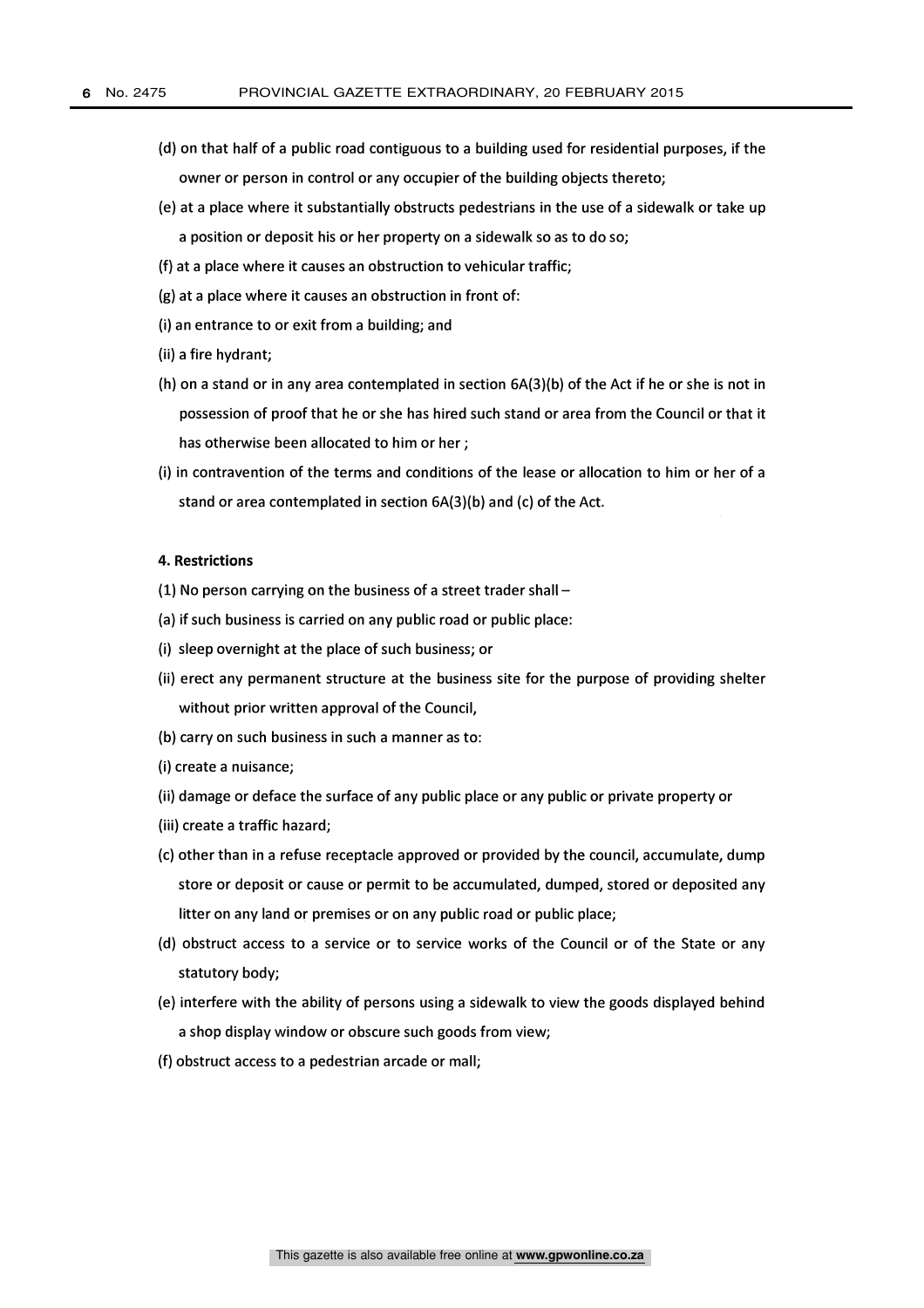- (d) on that half of a public road contiguous to a building used for residential purposes, if the owner or person in control or any occupier of the building objects thereto;
- (e) at a place where it substantially obstructs pedestrians in the use of a sidewalk or take up a position or deposit his or her property on a sidewalk so as to do so;
- (f) at a place where it causes an obstruction to vehicular traffic;
- (g) at a place where it causes an obstruction in front of:
- (i) an entrance to or exit from a building; and
- (ii) a fire hydrant;
- (h) on a stand or in any area contemplated in section 6A(3)(b) of the Act if he or she is not in possession of proof that he or she has hired such stand or area from the Council or that it has otherwise been allocated to him or her ;
- (i) in contravention of the terms and conditions of the lease or allocation to him or her of a stand or area contemplated in section 6A(3)(b) and (c) of the Act.

#### 4. Restrictions

- (1) No person carrying on the business of a street trader shall  $-$
- (a) if such business is carried on any public road or public place:
- (i) sleep overnight at the place of such business; or
- (ii) erect any permanent structure at the business site for the purpose of providing shelter without prior written approval of the Council,
- (b) carry on such business in such a manner as to:
- (i) create a nuisance;
- (ii) damage or deface the surface of any public place or any public or private property or
- (iii) create a traffic hazard;
- (c) other than in a refuse receptacle approved or provided by the council, accumulate, dump store or deposit or cause or permit to be accumulated, dumped, stored or deposited any litter on any land or premises or on any public road or public place;
- (d) obstruct access to a service or to service works of the Council or of the State or any statutory body;
- (e) interfere with the ability of persons using a sidewalk to view the goods displayed behind a shop display window or obscure such goods from view;
- (f) obstruct access to a pedestrian arcade or mall;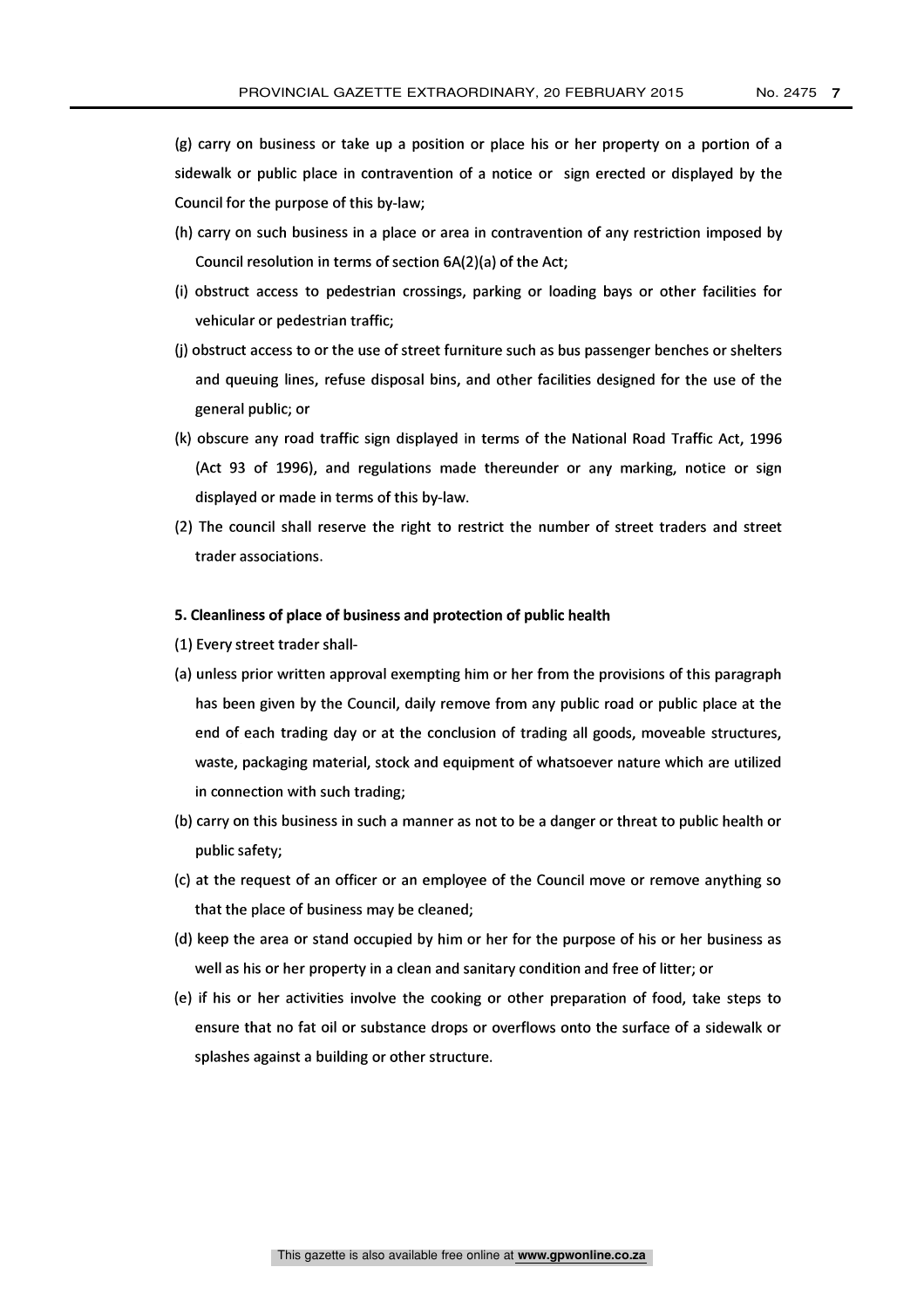(g) carry on business or take up a position or place his or her property on a portion of a sidewalk or public place in contravention of a notice or sign erected or displayed by the Council for the purpose of this by-law;

- (h) carry on such business in a place or area in contravention of any restriction imposed by Council resolution in terms of section 6A(2)(a) of the Act;
- (i) obstruct access to pedestrian crossings, parking or loading bays or other facilities for vehicular or pedestrian traffic;
- (j) obstruct access to or the use of street furniture such as bus passenger benches or shelters and queuing lines, refuse disposal bins, and other facilities designed for the use of the general public; or
- (k) obscure any road traffic sign displayed in terms of the National Road Traffic Act, 1996 (Act 93 of 1996), and regulations made thereunder or any marking, notice or sign displayed or made in terms of this by-law.
- (2) The council shall reserve the right to restrict the number of street traders and street trader associations.

#### 5. Cleanliness of place of business and protection of public health

- (1) Every street trader shall-
- (a) unless prior written approval exempting him or her from the provisions of this paragraph has been given by the Council, daily remove from any public road or public place at the end of each trading day or at the conclusion of trading all goods, moveable structures, waste, packaging material, stock and equipment of whatsoever nature which are utilized in connection with such trading;
- (b) carry on this business in such a manner as not to be a danger or threat to public health or public safety;
- (c) at the request of an officer or an employee of the Council move or remove anything so that the place of business may be cleaned;
- (d) keep the area or stand occupied by him or her for the purpose of his or her business as well as his or her property in a clean and sanitary condition and free of litter; or
- (e) if his or her activities involve the cooking or other preparation of food, take steps to ensure that no fat oil or substance drops or overflows onto the surface of a sidewalk or splashes against a building or other structure.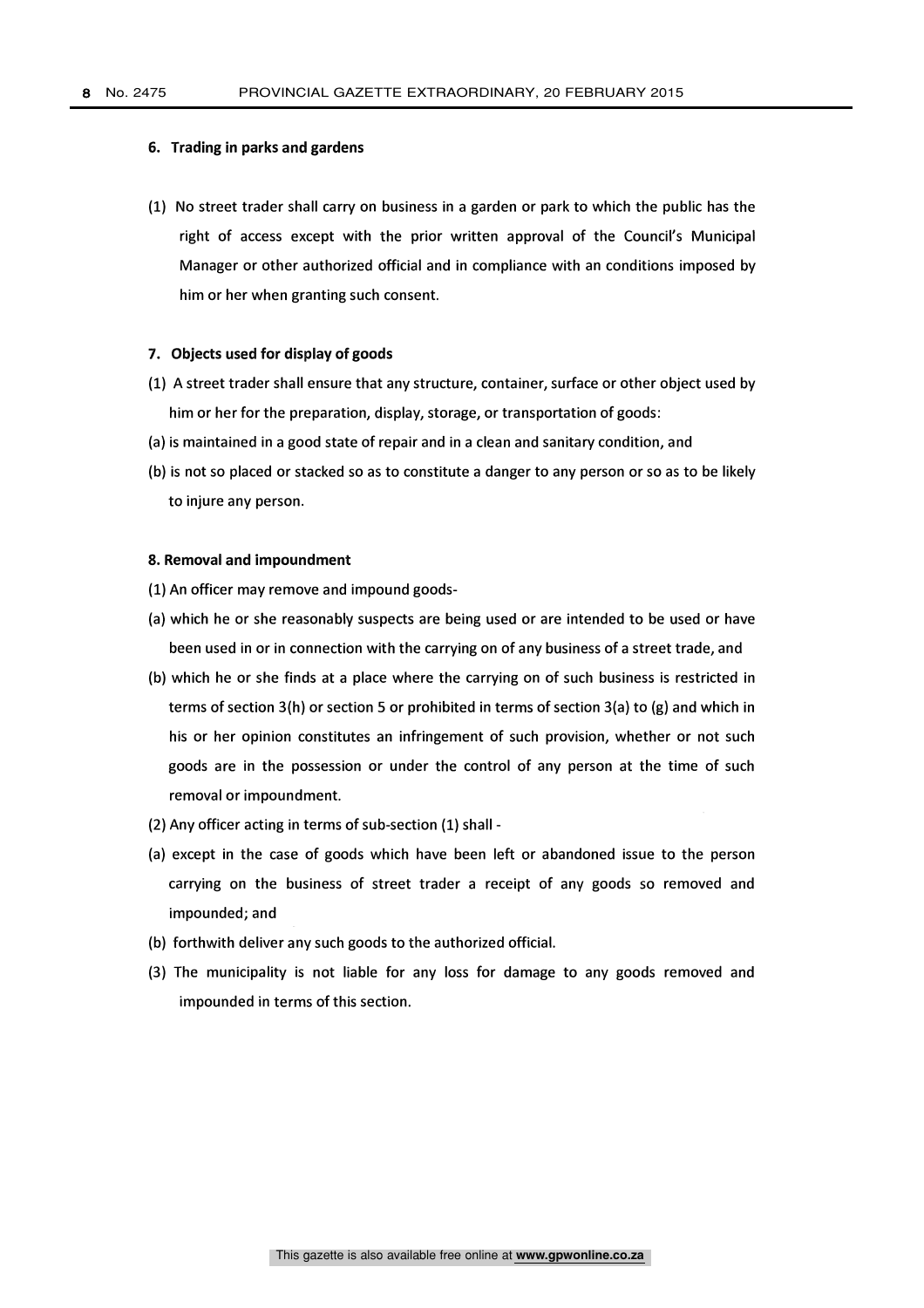#### 6. Trading in parks and gardens

(1) No street trader shall carry on business in a garden or park to which the public has the right of access except with the prior written approval of the Council's Municipal Manager or other authorized official and in compliance with an conditions imposed by him or her when granting such consent.

#### 7. Objects used for display of goods

- (1) A street trader shall ensure that any structure, container, surface or other object used by him or her for the preparation, display, storage, or transportation of goods:
- (a) is maintained in a good state of repair and in a clean and sanitary condition, and
- (b) is not so placed or stacked so as to constitute a danger to any person or so as to be likely to injure any person.

#### 8. Removal and impoundment

- (1) An officer may remove and impound goods-
- (a) which he or she reasonably suspects are being used or are intended to be used or have been used in or in connection with the carrying on of any business of a street trade, and
- (b) which he or she finds at a place where the carrying on of such business is restricted in terms of section 3(h) or section 5 or prohibited in terms of section 3(a) to (g) and which in his or her opinion constitutes an infringement of such provision, whether or not such goods are in the possession or under the control of any person at the time of such removal or impoundment.
- (2) Any officer acting in terms of sub-section (1) shall -
- (a) except in the case of goods which have been left or abandoned issue to the person carrying on the business of street trader a receipt of any goods so removed and impounded; and
- (b) forthwith deliver any such goods to the authorized official.
- (3) The municipality is not liable for any loss for damage to any goods removed and impounded in terms of this section.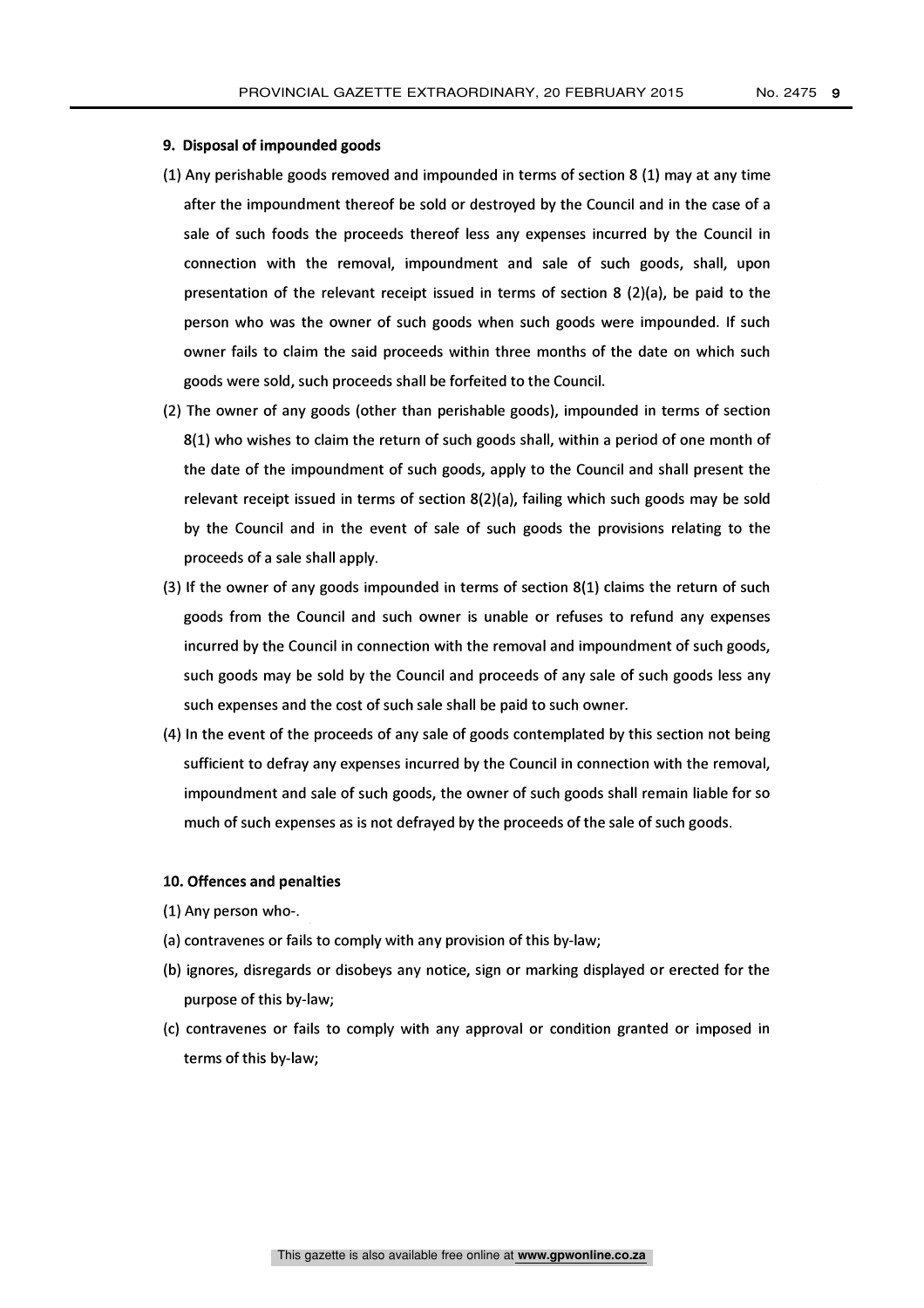#### 9. Disposal of impounded goods

- (1) Any perishable goods removed and impounded in terms of section 8 (1) may at any time after the impoundment thereof be sold or destroyed by the Council and in the case of a sale of such foods the proceeds thereof less any expenses incurred by the Council in connection with the removal, impoundment and sale of such goods, shall, upon presentation of the relevant receipt issued in terms of section 8 (2)(a), be paid to the person who was the owner of such goods when such goods were impounded. If such owner fails to claim the said proceeds within three months of the date on which such goods were sold, such proceeds shall be forfeited to the Council.
- (2) The owner of any goods (other than perishable goods), impounded in terms of section 8(1) who wishes to claim the return of such goods shall, within a period of one month of the date of the impoundment of such goods, apply to the Council and shall present the relevant receipt issued in terms of section 8(2)(a), failing which such goods may be sold by the Council and in the event of sale of such goods the provisions relating to the proceeds of a sale shall apply.
- (3) If the owner of any goods impounded in terms of section 8(1) claims the return of such goods from the Council and such owner is unable or refuses to refund any expenses incurred by the Council in connection with the removal and impoundment of such goods, such goods may be sold by the Council and proceeds of any sale of such goods less any such expenses and the cost of such sale shall be paid to such owner.
- (4) In the event of the proceeds of any sale of goods contemplated by this section not being sufficient to defray any expenses incurred by the Council in connection with the removal, impoundment and sale of such goods, the owner of such goods shall remain liable for so much of such expenses as is not defrayed by the proceeds of the sale of such goods.

#### 10. Offences and penalties

- (1) Any person who-.
- (a) contravenes or fails to comply with any provision of this by-law;
- (b) ignores, disregards or disobeys any notice, sign or marking displayed or erected for the purpose of this by-law;
- (c) contravenes or fails to comply with any approval or condition granted or imposed in terms of this by-law;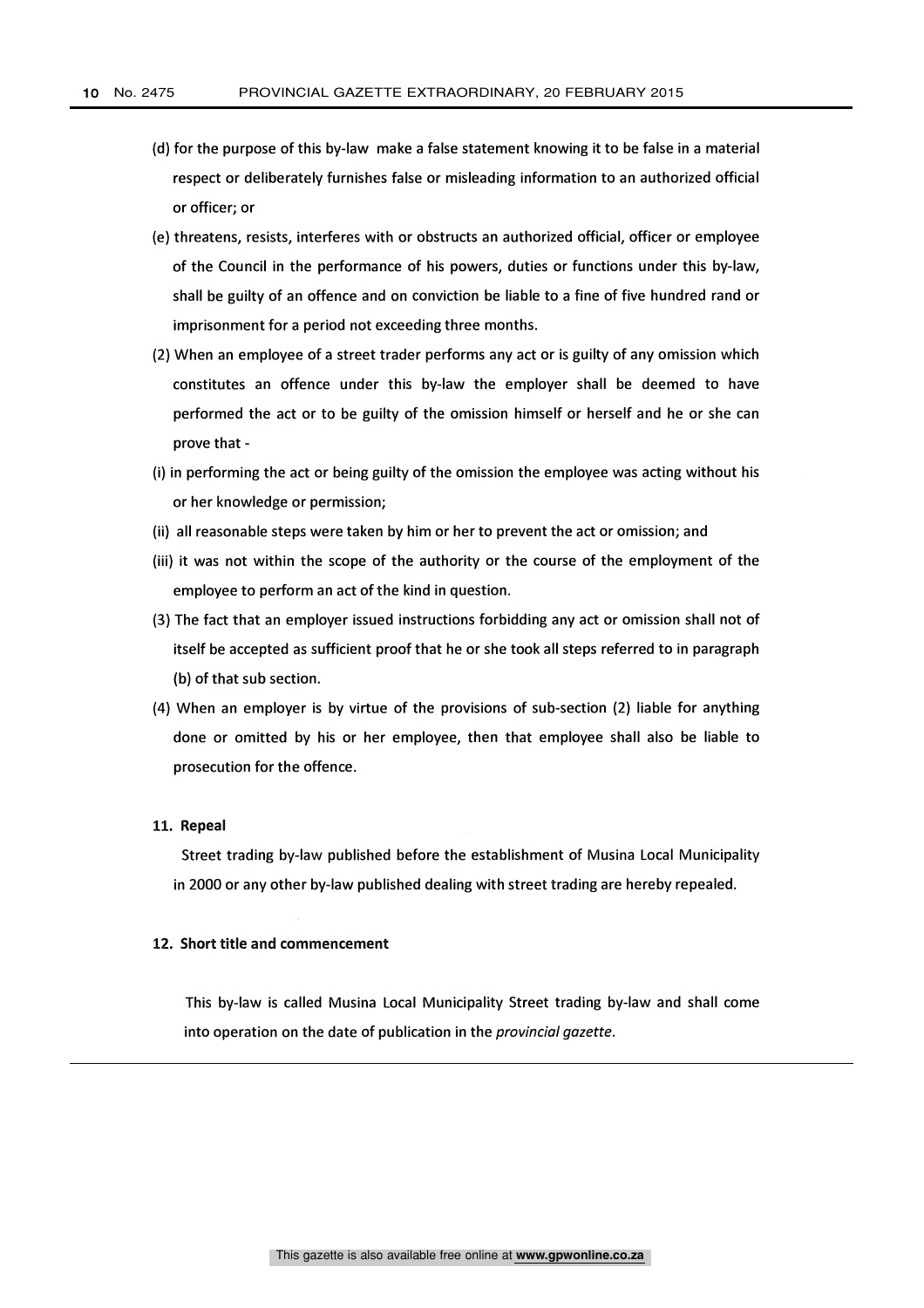- (d) for the purpose of this by-law make a false statement knowing it to be false in a material respect or deliberately furnishes false or misleading information to an authorized official or officer; or
- (e) threatens, resists, interferes with or obstructs an authorized official, officer or employee of the Council in the performance of his powers, duties or functions under this by-law, shall be guilty of an offence and on conviction be liable to a fine of five hundred rand or imprisonment for a period not exceeding three months.
- (2) When an employee of a street trader performs any act or is guilty of any omission which constitutes an offence under this by-law the employer shall be deemed to have performed the act or to be guilty of the omission himself or herself and he or she can prove that -
- (i) in performing the act or being guilty of the omission the employee was acting without his or her knowledge or permission;
- (ii) all reasonable steps were taken by him or her to prevent the act or omission; and
- (iii) it was not within the scope of the authority or the course of the employment of the employee to perform an act of the kind in question.
- (3) The fact that an employer issued instructions forbidding any act or omission shall not of itself be accepted as sufficient proof that he or she took all steps referred to in paragraph (b) of that sub section.
- (4) When an employer is by virtue of the provisions of sub-section (2) liable for anything done or omitted by his or her employee, then that employee shall also be liable to prosecution for the offence.

#### 11. Repeal

Street trading by-law published before the establishment of Musina Local Municipality in 2000 or any other by-law published dealing with street trading are hereby repealed.

#### 12. Short title and commencement

This by-law is called Musina Local Municipality Street trading by-law and shall come into operation on the date of publication in the provincial gazette.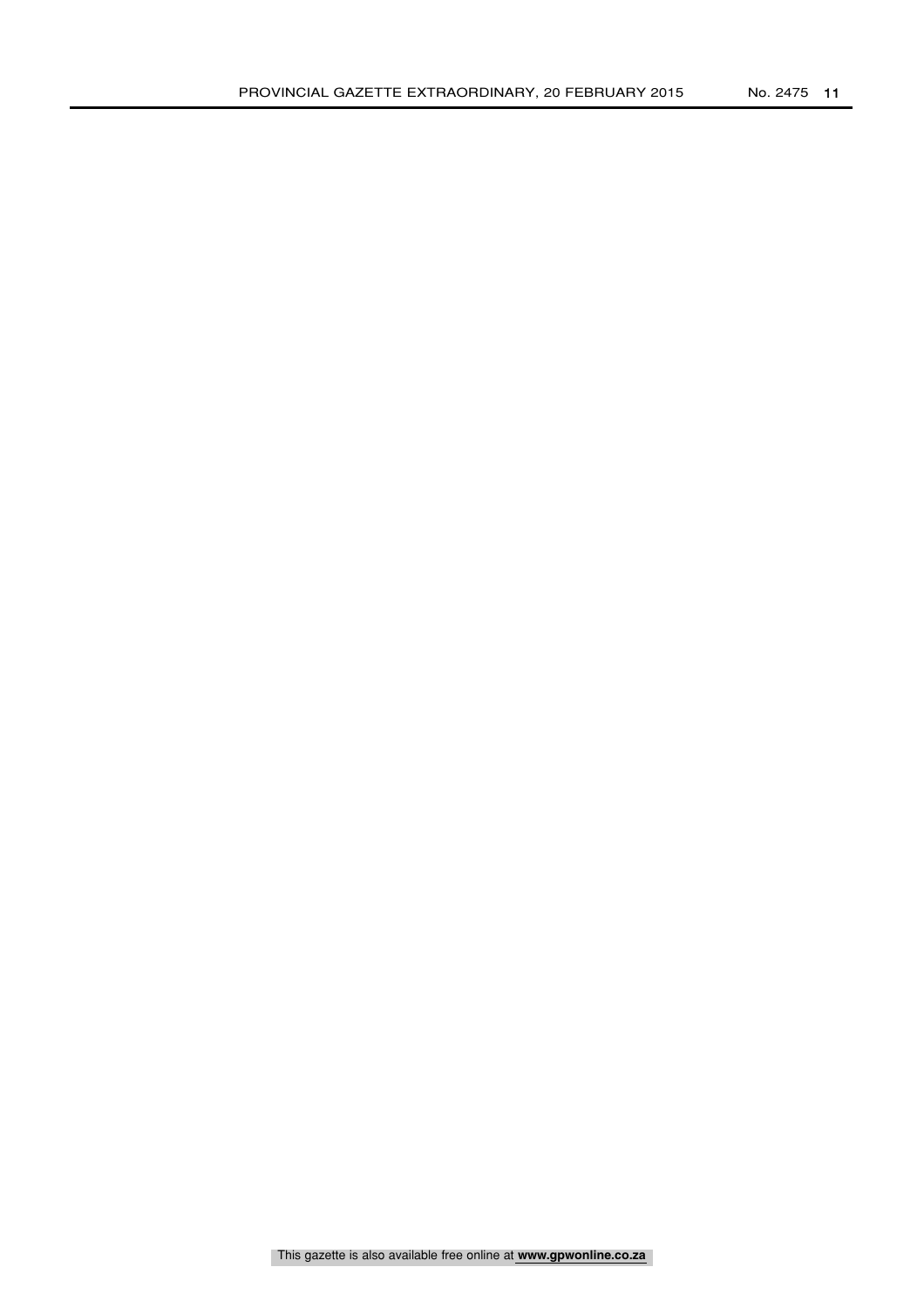This gazette is also available free online at **www.gpwonline.co.za**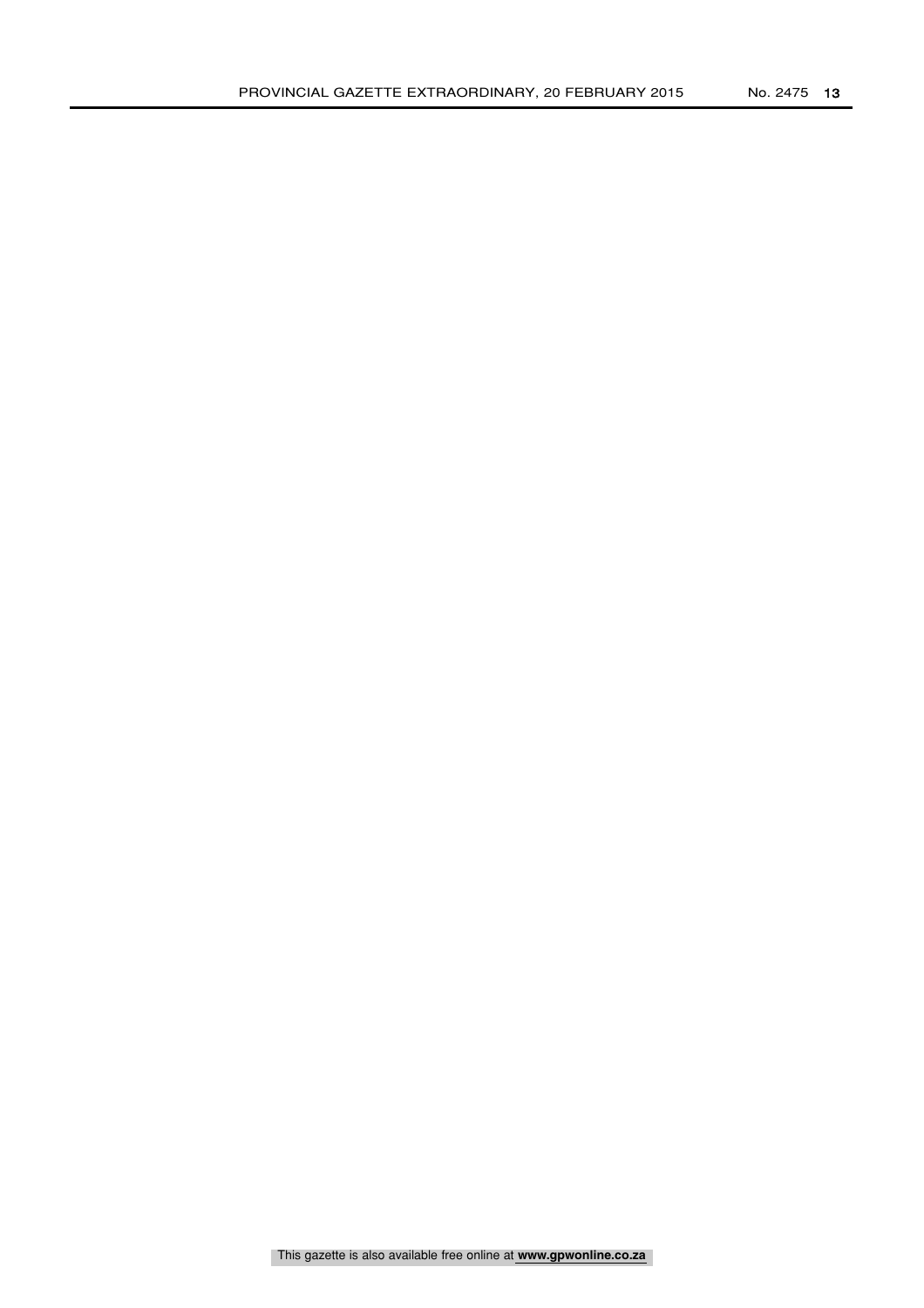This gazette is also available free online at **www.gpwonline.co.za**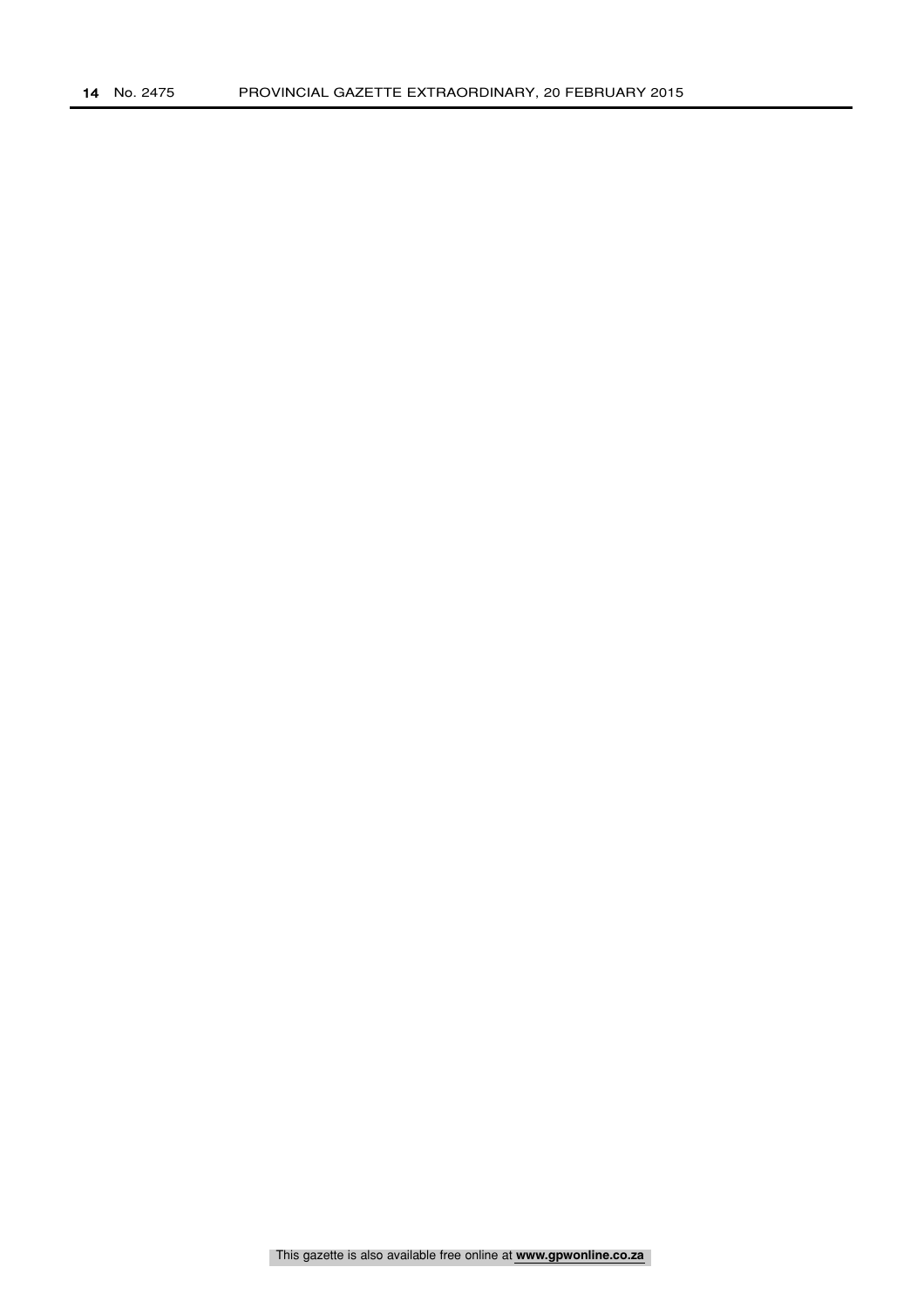14 No. 2475 PROVINCIAL GAZETTE EXTRAORDINARY, 20 FEBRUARY 2015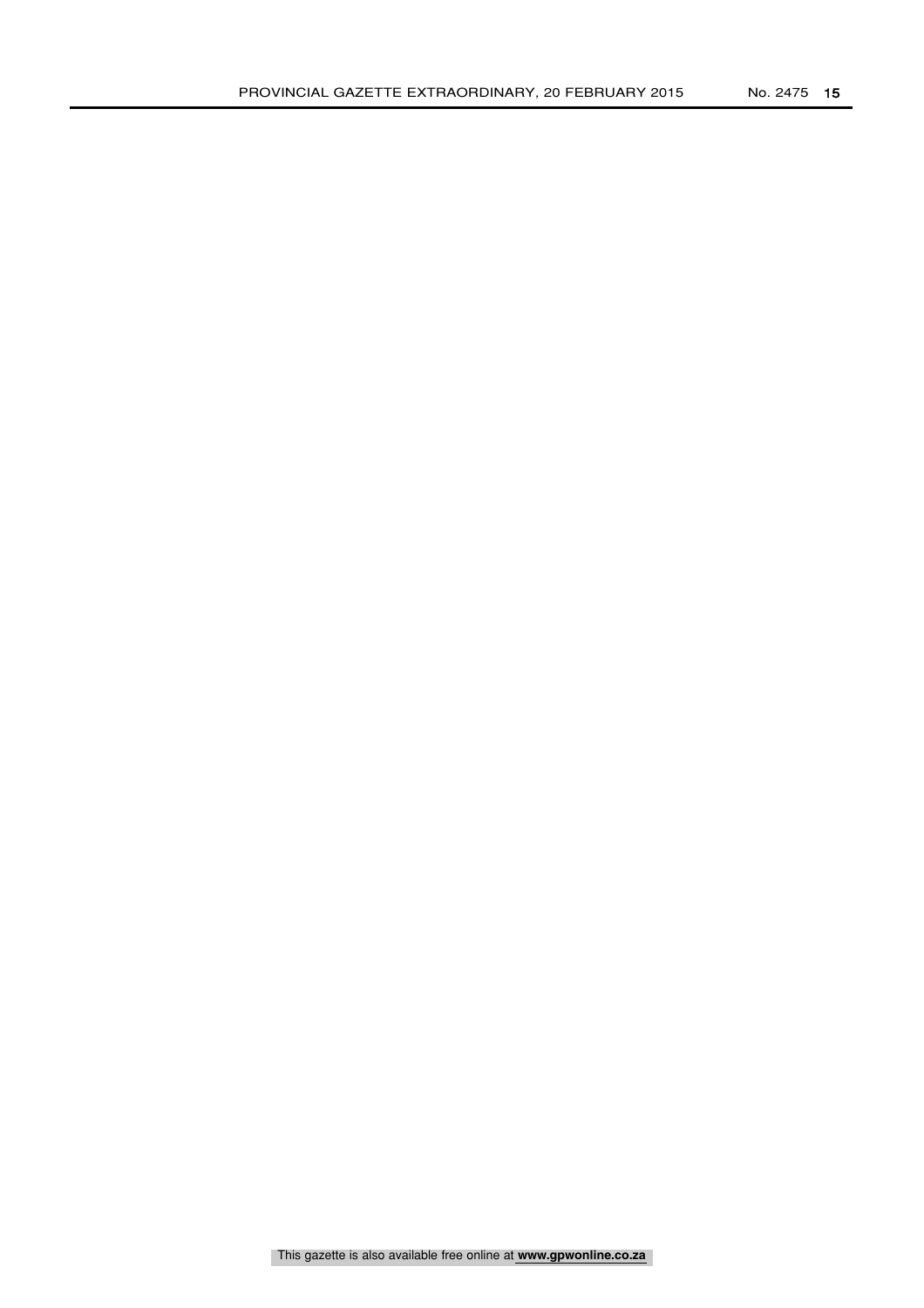This gazette is also available free online at **www.gpwonline.co.za**